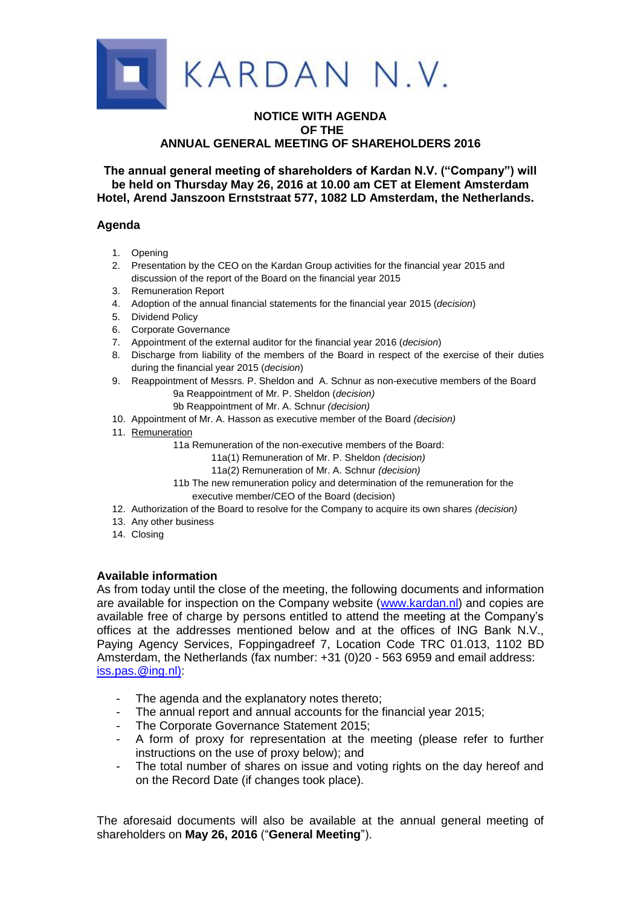

## **NOTICE WITH AGENDA OF THE ANNUAL GENERAL MEETING OF SHAREHOLDERS 2016**

**The annual general meeting of shareholders of Kardan N.V. ("Company") will be held on Thursday May 26, 2016 at 10.00 am CET at Element Amsterdam Hotel, Arend Janszoon Ernststraat 577, 1082 LD Amsterdam, the Netherlands.**

# **Agenda**

- 1. Opening
- 2. Presentation by the CEO on the Kardan Group activities for the financial year 2015 and discussion of the report of the Board on the financial year 2015
- 3. Remuneration Report
- 4. Adoption of the annual financial statements for the financial year 2015 (*decision*)
- 5. Dividend Policy
- 6. Corporate Governance
- 7. Appointment of the external auditor for the financial year 2016 (*decision*)
- 8. Discharge from liability of the members of the Board in respect of the exercise of their duties during the financial year 2015 (*decision*)
- 9. Reappointment of Messrs. P. Sheldon and A. Schnur as non-executive members of the Board 9a Reappointment of Mr. P. Sheldon (*decision)*
	- 9b Reappointment of Mr. A. Schnur *(decision)*
- 10. Appointment of Mr. A. Hasson as executive member of the Board *(decision)*
- 11. Remuneration
	- 11a Remuneration of the non-executive members of the Board:
		- 11a(1) Remuneration of Mr. P. Sheldon *(decision)*
		- 11a(2) Remuneration of Mr. A. Schnur *(decision)*
	- 11b The new remuneration policy and determination of the remuneration for the executive member/CEO of the Board (decision)
- 12. Authorization of the Board to resolve for the Company to acquire its own shares *(decision)*
- 13. Any other business
- 14. Closing

# **Available information**

As from today until the close of the meeting, the following documents and information are available for inspection on the Company website [\(www.kardan.nl\)](http://www.kardan.nl/) and copies are available free of charge by persons entitled to attend the meeting at the Company's offices at the addresses mentioned below and at the offices of ING Bank N.V., Paying Agency Services, Foppingadreef 7, Location Code TRC 01.013, 1102 BD Amsterdam, the Netherlands (fax number: +31 (0)20 - 563 6959 and email address: [iss.pas.@ing.nl\):](mailto:iss.pas.@ing.nl))

- The agenda and the explanatory notes thereto;
- The annual report and annual accounts for the financial year 2015;
- The Corporate Governance Statement 2015;
- A form of proxy for representation at the meeting (please refer to further instructions on the use of proxy below); and
- The total number of shares on issue and voting rights on the day hereof and on the Record Date (if changes took place).

The aforesaid documents will also be available at the annual general meeting of shareholders on **May 26, 2016** ("**General Meeting**").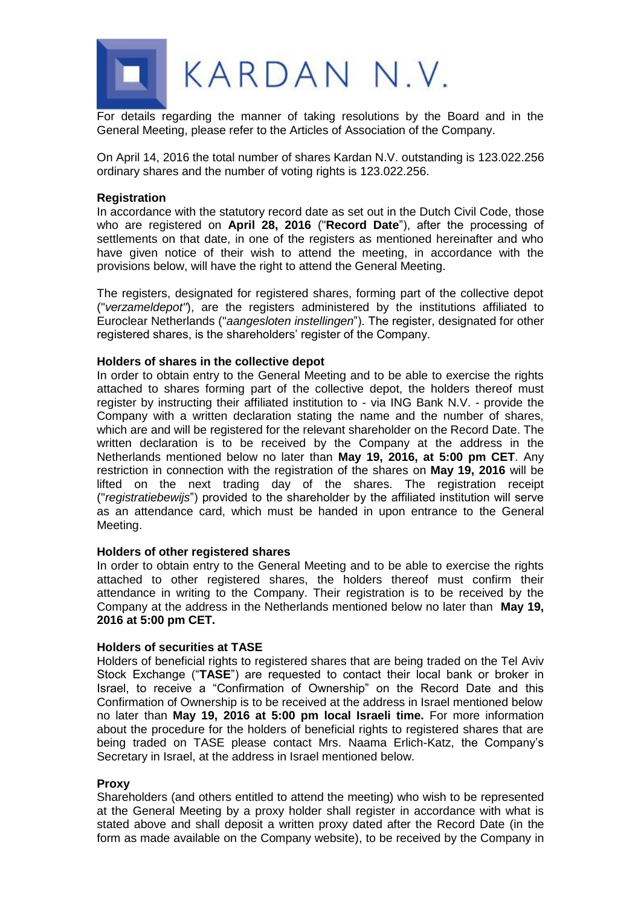

For details regarding the manner of taking resolutions by the Board and in the General Meeting, please refer to the Articles of Association of the Company.

On April 14, 2016 the total number of shares Kardan N.V. outstanding is 123.022.256 ordinary shares and the number of voting rights is 123.022.256.

## **Registration**

In accordance with the statutory record date as set out in the Dutch Civil Code, those who are registered on **April 28, 2016** ("**Record Date**"), after the processing of settlements on that date, in one of the registers as mentioned hereinafter and who have given notice of their wish to attend the meeting, in accordance with the provisions below, will have the right to attend the General Meeting.

The registers, designated for registered shares, forming part of the collective depot ("*verzameldepot"*), are the registers administered by the institutions affiliated to Euroclear Netherlands ("*aangesloten instellingen*"). The register, designated for other registered shares, is the shareholders' register of the Company.

### **Holders of shares in the collective depot**

In order to obtain entry to the General Meeting and to be able to exercise the rights attached to shares forming part of the collective depot, the holders thereof must register by instructing their affiliated institution to - via ING Bank N.V. - provide the Company with a written declaration stating the name and the number of shares, which are and will be registered for the relevant shareholder on the Record Date. The written declaration is to be received by the Company at the address in the Netherlands mentioned below no later than **May 19, 2016, at 5:00 pm CET**. Any restriction in connection with the registration of the shares on **May 19, 2016** will be lifted on the next trading day of the shares. The registration receipt ("*registratiebewijs*") provided to the shareholder by the affiliated institution will serve as an attendance card, which must be handed in upon entrance to the General Meeting.

## **Holders of other registered shares**

In order to obtain entry to the General Meeting and to be able to exercise the rights attached to other registered shares, the holders thereof must confirm their attendance in writing to the Company. Their registration is to be received by the Company at the address in the Netherlands mentioned below no later than **May 19, 2016 at 5:00 pm CET.**

## **Holders of securities at TASE**

Holders of beneficial rights to registered shares that are being traded on the Tel Aviv Stock Exchange ("**TASE**") are requested to contact their local bank or broker in Israel, to receive a "Confirmation of Ownership" on the Record Date and this Confirmation of Ownership is to be received at the address in Israel mentioned below no later than **May 19, 2016 at 5:00 pm local Israeli time.** For more information about the procedure for the holders of beneficial rights to registered shares that are being traded on TASE please contact Mrs. Naama Erlich-Katz, the Company's Secretary in Israel, at the address in Israel mentioned below.

## **Proxy**

Shareholders (and others entitled to attend the meeting) who wish to be represented at the General Meeting by a proxy holder shall register in accordance with what is stated above and shall deposit a written proxy dated after the Record Date (in the form as made available on the Company website), to be received by the Company in